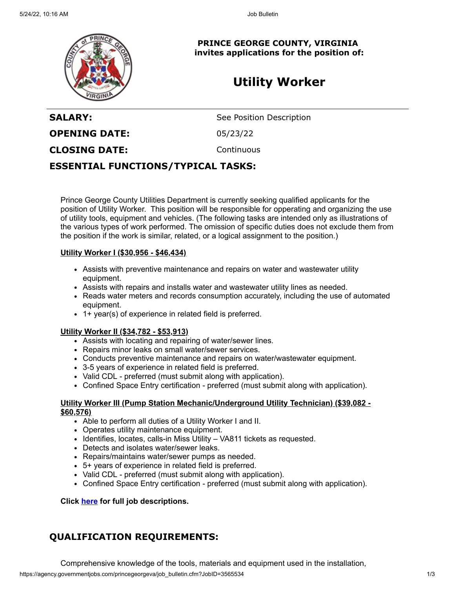

**PRINCE GEORGE COUNTY, VIRGINIA invites applications for the position of:**

# **Utility Worker**

**SALARY:** See Position Description **OPENING DATE:** 05/23/22 **CLOSING DATE:** Continuous

## **ESSENTIAL FUNCTIONS/TYPICAL TASKS:**

Prince George County Utilities Department is currently seeking qualified applicants for the position of Utility Worker. This position will be responsible for opperating and organizing the use of utility tools, equipment and vehicles. (The following tasks are intended only as illustrations of the various types of work performed. The omission of specific duties does not exclude them from the position if the work is similar, related, or a logical assignment to the position.)

### **Utility Worker I (\$30,956 - \$46,434)**

- Assists with preventive maintenance and repairs on water and wastewater utility equipment.
- Assists with repairs and installs water and wastewater utility lines as needed.
- Reads water meters and records consumption accurately, including the use of automated equipment.
- 1+ year(s) of experience in related field is preferred.

### **Utility Worker II (\$34,782 - \$53,913)**

- Assists with locating and repairing of water/sewer lines.
- Repairs minor leaks on small water/sewer services.
- Conducts preventive maintenance and repairs on water/wastewater equipment.
- 3-5 years of experience in related field is preferred.
- Valid CDL preferred (must submit along with application).
- Confined Space Entry certification preferred (must submit along with application).

### **Utility Worker III (Pump Station Mechanic/Underground Utility Technician) (\$39,082 - \$60,576)**

- Able to perform all duties of a Utility Worker I and II.
- Operates utility maintenance equipment.
- Identifies, locates, calls-in Miss Utility VA811 tickets as requested.
- Detects and isolates water/sewer leaks.
- Repairs/maintains water/sewer pumps as needed.
- 5+ years of experience in related field is preferred.
- Valid CDL preferred (must submit along with application).
- Confined Space Entry certification preferred (must submit along with application).

**Click [here](https://www.princegeorgecountyva.gov/departments/human_resources/job_descriptions.php#revize_document_center_rz410) for full job descriptions.**

# **QUALIFICATION REQUIREMENTS:**

Comprehensive knowledge of the tools, materials and equipment used in the installation,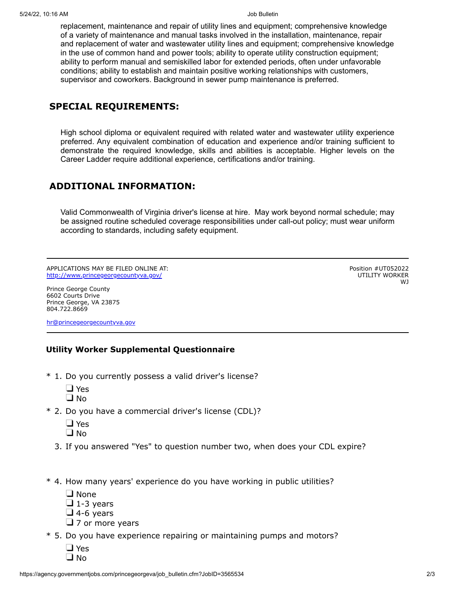replacement, maintenance and repair of utility lines and equipment; comprehensive knowledge of a variety of maintenance and manual tasks involved in the installation, maintenance, repair and replacement of water and wastewater utility lines and equipment; comprehensive knowledge in the use of common hand and power tools; ability to operate utility construction equipment; ability to perform manual and semiskilled labor for extended periods, often under unfavorable conditions; ability to establish and maintain positive working relationships with customers, supervisor and coworkers. Background in sewer pump maintenance is preferred.

# **SPECIAL REQUIREMENTS:**

High school diploma or equivalent required with related water and wastewater utility experience preferred. Any equivalent combination of education and experience and/or training sufficient to demonstrate the required knowledge, skills and abilities is acceptable. Higher levels on the Career Ladder require additional experience, certifications and/or training.

# **ADDITIONAL INFORMATION:**

Valid Commonwealth of Virginia driver's license at hire. May work beyond normal schedule; may be assigned routine scheduled coverage responsibilities under call-out policy; must wear uniform according to standards, including safety equipment.

APPLICATIONS MAY BE FILED ONLINE AT: <http://www.princegeorgecountyva.gov/>

Position #UT052022 UTILITY WORKER WJ

Prince George County 6602 Courts Drive Prince George, VA 23875 804.722.8669

[hr@princegeorgecountyva.gov](mailto:hr@princegeorgecountyva.gov)

### **Utility Worker Supplemental Questionnaire**

- \* 1. Do you currently possess a valid driver's license?
	- □ Yes  $\Box$  No
- \* 2. Do you have a commercial driver's license (CDL)?
	- □ Yes
	- $\Box$  No
	- 3. If you answered "Yes" to question number two, when does your CDL expire?
- \* 4. How many years' experience do you have working in public utilities?
	- $\Box$  None
	- $\Box$  1-3 years
	- $\Box$  4-6 years
	- $\Box$  7 or more years
- \* 5. Do you have experience repairing or maintaining pumps and motors?
	- □ Yes  $\Box$  No